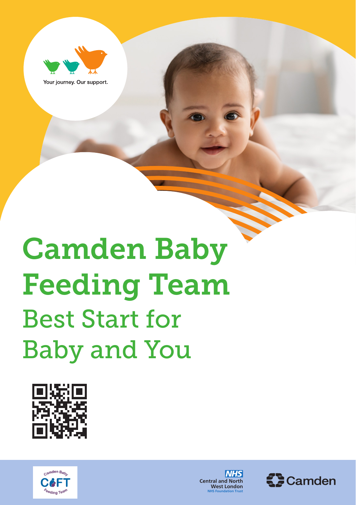

Your journey. Our support.

# Camden Baby Feeding Team Best Start for Baby and You







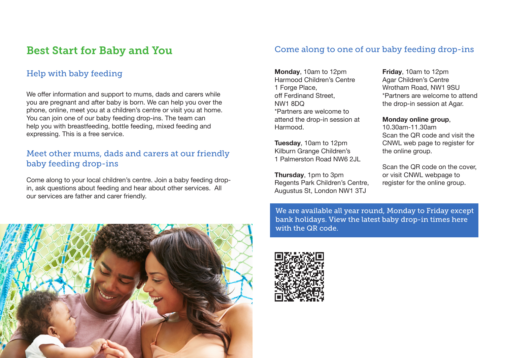## Best Start for Baby and You

#### Help with baby feeding

We offer information and support to mums, dads and carers while you are pregnant and after baby is born. We can help you over the phone, online, meet you at a children's centre or visit you at home. You can join one of our baby feeding drop-ins. The team can help you with breastfeeding, bottle feeding, mixed feeding and expressing. This is a free service.

#### Meet other mums, dads and carers at our friendly baby feeding drop-ins

Come along to your local children's centre. Join a baby feeding dropin, ask questions about feeding and hear about other services. All our services are father and carer friendly.

#### Come along to one of our baby feeding drop-ins

**Monday**, 10am to 12pm Harmood Children's Centre 1 Forge Place, off Ferdinand Street, NW1 8DQ \*Partners are welcome to attend the drop-in session at Harmood.

**Tuesday**, 10am to 12pm Kilburn Grange Children's 1 Palmerston Road NW6 2JL

**Thursday**, 1pm to 3pm Regents Park Children's Centre, Augustus St, London NW1 3TJ

**Friday**, 10am to 12pm Agar Children's Centre Wrotham Road, NW1 9SU \*Partners are welcome to attend the drop-in session at Agar.

**Monday online group**,

10.30am-11.30am Scan the QR code and visit the CNWL web page to register for the online group.

Scan the QR code on the cover, or visit CNWL webpage to register for the online group.

We are available all year round, Monday to Friday except bank holidays. View the latest baby drop-in times here with the QR code.